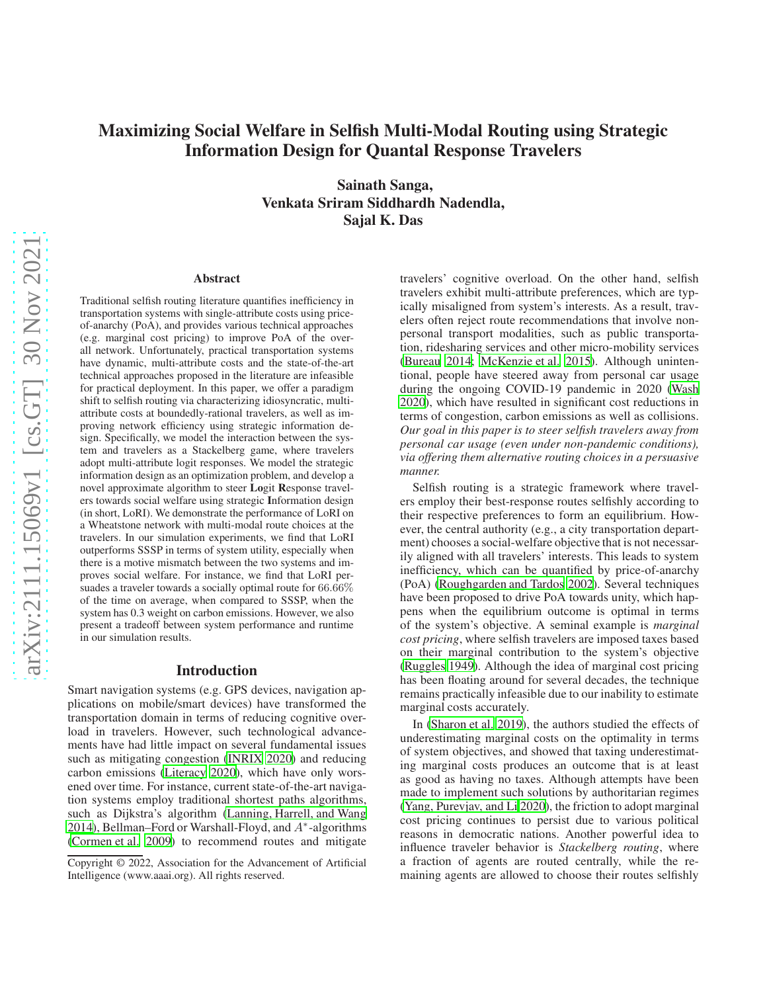# Maximizing Social Welfare in Selfish Multi-Modal Routing using Strategic Information Design for Quantal Response Travelers

Sainath Sanga, Venkata Sriram Siddhardh Nadendla, Sajal K. Das

#### Abstract

Traditional selfish routing literature quantifies inefficiency in transportation systems with single-attribute costs using priceof-anarchy (PoA), and provides various technical approaches (e.g. marginal cost pricing) to improve PoA of the overall network. Unfortunately, practical transportation systems have dynamic, multi-attribute costs and the state-of-the-art technical approaches proposed in the literature are infeasible for practical deployment. In this paper, we offer a paradigm shift to selfish routing via characterizing idiosyncratic, multiattribute costs at boundedly-rational travelers, as well as improving network efficiency using strategic information design. Specifically, we model the interaction between the system and travelers as a Stackelberg game, where travelers adopt multi-attribute logit responses. We model the strategic information design as an optimization problem, and develop a novel approximate algorithm to steer Logit Response travelers towards social welfare using strategic Information design (in short, LoRI). We demonstrate the performance of LoRI on a Wheatstone network with multi-modal route choices at the travelers. In our simulation experiments, we find that LoRI outperforms SSSP in terms of system utility, especially when there is a motive mismatch between the two systems and improves social welfare. For instance, we find that LoRI persuades a traveler towards a socially optimal route for 66.66% of the time on average, when compared to SSSP, when the system has 0.3 weight on carbon emissions. However, we also present a tradeoff between system performance and runtime in our simulation results.

## Introduction

Smart navigation systems (e.g. GPS devices, navigation applications on mobile/smart devices) have transformed the transportation domain in terms of reducing cognitive overload in travelers. However, such technological advancements have had little impact on several fundamental issues such as mitigating congestion [\(INRIX 2020\)](#page-7-0) and reducing carbon emissions [\(Literacy 2020](#page-7-1)), which have only worsened over time. For instance, current state-of-the-art navigation systems employ traditional shortest paths algorithms, such as Dijkstra's algorithm [\(Lanning, Harrell, and Wang](#page-7-2) [2014\)](#page-7-2), Bellman–Ford or Warshall-Floyd, and A<sup>∗</sup> -algorithms (Cormen et al. 2009) to recommend routes and mitigate

travelers' cognitive overload. On the other hand, selfish travelers exhibit multi-attribute preferences, which are typically misaligned from system's interests. As a result, travelers often reject route recommendations that involve nonpersonal transport modalities, such as public transportation, ridesharing services and other micro-mobility services [\(Bureau 2014;](#page-7-3) [McKenzie et al. 2015\)](#page-7-4). Although unintentional, people have steered away from personal car usage during the ongoing COVID-19 pandemic in 2020 [\(Wash](#page-7-5) [2020\)](#page-7-5), which have resulted in significant cost reductions in terms of congestion, carbon emissions as well as collisions. *Our goal in this paper is to steer selfish travelers away from personal car usage (even under non-pandemic conditions), via offering them alternative routing choices in a persuasive manner.*

Selfish routing is a strategic framework where travelers employ their best-response routes selfishly according to their respective preferences to form an equilibrium. However, the central authority (e.g., a city transportation department) chooses a social-welfare objective that is not necessarily aligned with all travelers' interests. This leads to system inefficiency, which can be quantified by price-of-anarchy (PoA) [\(Roughgarden and Tardos 2002\)](#page-7-6). Several techniques have been proposed to drive PoA towards unity, which happens when the equilibrium outcome is optimal in terms of the system's objective. A seminal example is *marginal cost pricing*, where selfish travelers are imposed taxes based on their marginal contribution to the system's objective [\(Ruggles 1949](#page-7-7)). Although the idea of marginal cost pricing has been floating around for several decades, the technique remains practically infeasible due to our inability to estimate marginal costs accurately.

In [\(Sharon et al. 2019](#page-7-8)), the authors studied the effects of underestimating marginal costs on the optimality in terms of system objectives, and showed that taxing underestimating marginal costs produces an outcome that is at least as good as having no taxes. Although attempts have been made to implement such solutions by authoritarian regimes [\(Yang, Purevjav, and Li 2020\)](#page-7-9), the friction to adopt marginal cost pricing continues to persist due to various political reasons in democratic nations. Another powerful idea to influence traveler behavior is *Stackelberg routing*, where a fraction of agents are routed centrally, while the remaining agents are allowed to choose their routes selfishly

Copyright © 2022, Association for the Advancement of Artificial Intelligence (www.aaai.org). All rights reserved.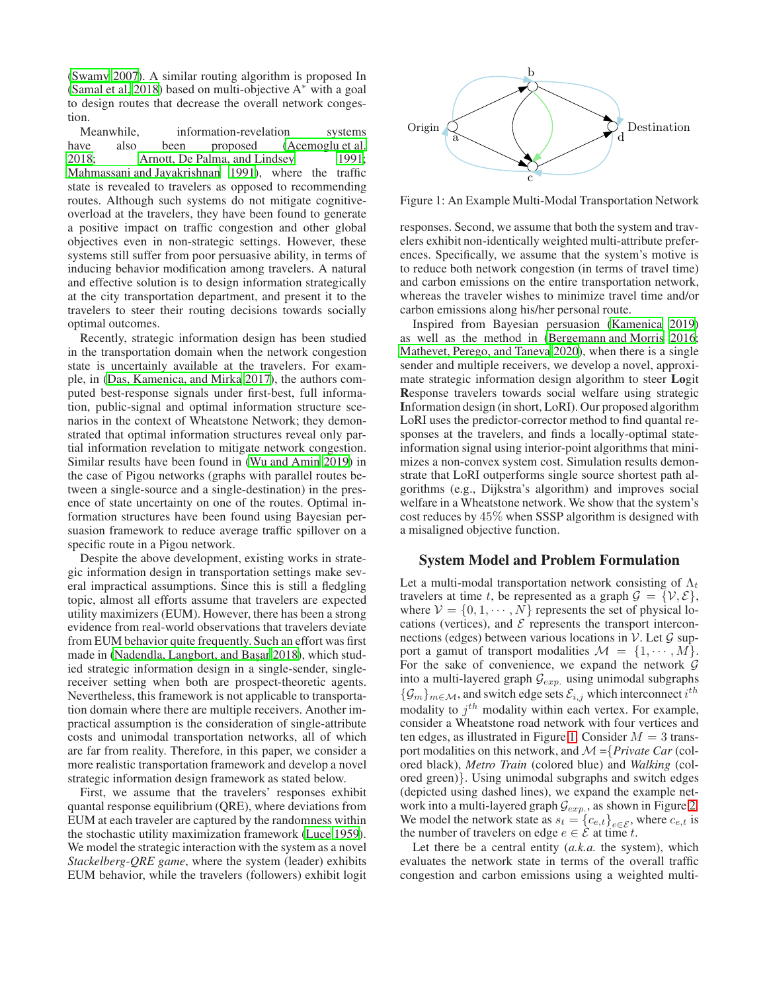[\(Swamy 2007\)](#page-7-10). A similar routing algorithm is proposed In [\(Samal et al. 2018\)](#page-7-11) based on multi-objective A<sup>∗</sup> with a goal to design routes that decrease the overall network congestion.

Meanwhile, information-revelation systems have also been proposed [\(Acemoglu et al.](#page-7-12) [2018;](#page-7-12) [Arnott, De Palma, and Lindsey 1991;](#page-7-13) [Mahmassani and Jayakrishnan 1991\)](#page-7-14), where the traffic state is revealed to travelers as opposed to recommending routes. Although such systems do not mitigate cognitiveoverload at the travelers, they have been found to generate a positive impact on traffic congestion and other global objectives even in non-strategic settings. However, these systems still suffer from poor persuasive ability, in terms of inducing behavior modification among travelers. A natural and effective solution is to design information strategically at the city transportation department, and present it to the travelers to steer their routing decisions towards socially optimal outcomes.

Recently, strategic information design has been studied in the transportation domain when the network congestion state is uncertainly available at the travelers. For example, in [\(Das, Kamenica, and Mirka 2017\)](#page-7-15), the authors computed best-response signals under first-best, full information, public-signal and optimal information structure scenarios in the context of Wheatstone Network; they demonstrated that optimal information structures reveal only partial information revelation to mitigate network congestion. Similar results have been found in [\(Wu and Amin 2019\)](#page-7-16) in the case of Pigou networks (graphs with parallel routes between a single-source and a single-destination) in the presence of state uncertainty on one of the routes. Optimal information structures have been found using Bayesian persuasion framework to reduce average traffic spillover on a specific route in a Pigou network.

Despite the above development, existing works in strategic information design in transportation settings make several impractical assumptions. Since this is still a fledgling topic, almost all efforts assume that travelers are expected utility maximizers (EUM). However, there has been a strong evidence from real-world observations that travelers deviate from EUM behavior quite frequently. Such an effort was first made in (Nadendla, Langbort, and Başar 2018), which studied strategic information design in a single-sender, singlereceiver setting when both are prospect-theoretic agents. Nevertheless, this framework is not applicable to transportation domain where there are multiple receivers. Another impractical assumption is the consideration of single-attribute costs and unimodal transportation networks, all of which are far from reality. Therefore, in this paper, we consider a more realistic transportation framework and develop a novel strategic information design framework as stated below.

First, we assume that the travelers' responses exhibit quantal response equilibrium (QRE), where deviations from EUM at each traveler are captured by the randomness within the stochastic utility maximization framework [\(Luce 1959\)](#page-7-18). We model the strategic interaction with the system as a novel *Stackelberg-QRE game*, where the system (leader) exhibits EUM behavior, while the travelers (followers) exhibit logit

<span id="page-1-0"></span>

Figure 1: An Example Multi-Modal Transportation Network

responses. Second, we assume that both the system and travelers exhibit non-identically weighted multi-attribute preferences. Specifically, we assume that the system's motive is to reduce both network congestion (in terms of travel time) and carbon emissions on the entire transportation network, whereas the traveler wishes to minimize travel time and/or carbon emissions along his/her personal route.

Inspired from Bayesian persuasion [\(Kamenica 2019\)](#page-7-19) as well as the method in [\(Bergemann and Morris 2016](#page-7-20); [Mathevet, Perego, and Taneva 2020\)](#page-7-21), when there is a single sender and multiple receivers, we develop a novel, approximate strategic information design algorithm to steer Logit Response travelers towards social welfare using strategic Information design (in short, LoRI). Our proposed algorithm LoRI uses the predictor-corrector method to find quantal responses at the travelers, and finds a locally-optimal stateinformation signal using interior-point algorithms that minimizes a non-convex system cost. Simulation results demonstrate that LoRI outperforms single source shortest path algorithms (e.g., Dijkstra's algorithm) and improves social welfare in a Wheatstone network. We show that the system's cost reduces by 45% when SSSP algorithm is designed with a misaligned objective function.

## System Model and Problem Formulation

Let a multi-modal transportation network consisting of  $\Lambda_t$ travelers at time t, be represented as a graph  $\mathcal{G} = \{V, \mathcal{E}\},\$ where  $V = \{0, 1, \dots, N\}$  represents the set of physical locations (vertices), and  $\mathcal E$  represents the transport interconnections (edges) between various locations in  $\mathcal V$ . Let  $\mathcal G$  support a gamut of transport modalities  $\mathcal{M} = \{1, \dots, M\}.$ For the sake of convenience, we expand the network  $G$ into a multi-layered graph  $\mathcal{G}_{exp.}$  using unimodal subgraphs  $\{\mathcal{G}_m\}_{m\in\mathcal{M}}$ , and switch edge sets  $\mathcal{E}_{i,j}$  which interconnect  $i^{th}$ modality to  $j^{th}$  modality within each vertex. For example, consider a Wheatstone road network with four vertices and ten edges, as illustrated in Figure [1.](#page-1-0) Consider  $M = 3$  transport modalities on this network, and M ={*Private Car* (colored black), *Metro Train* (colored blue) and *Walking* (colored green)}. Using unimodal subgraphs and switch edges (depicted using dashed lines), we expand the example network into a multi-layered graph  $\mathcal{G}_{exp.}$ , as shown in Figure [2.](#page-2-0) We model the network state as  $s_t = \{c_{e,t}\}_{e \in \mathcal{E}}$ , where  $c_{e,t}$  is the number of travelers on edge  $e \in \mathcal{E}$  at time t.

Let there be a central entity (*a.k.a.* the system), which evaluates the network state in terms of the overall traffic congestion and carbon emissions using a weighted multi-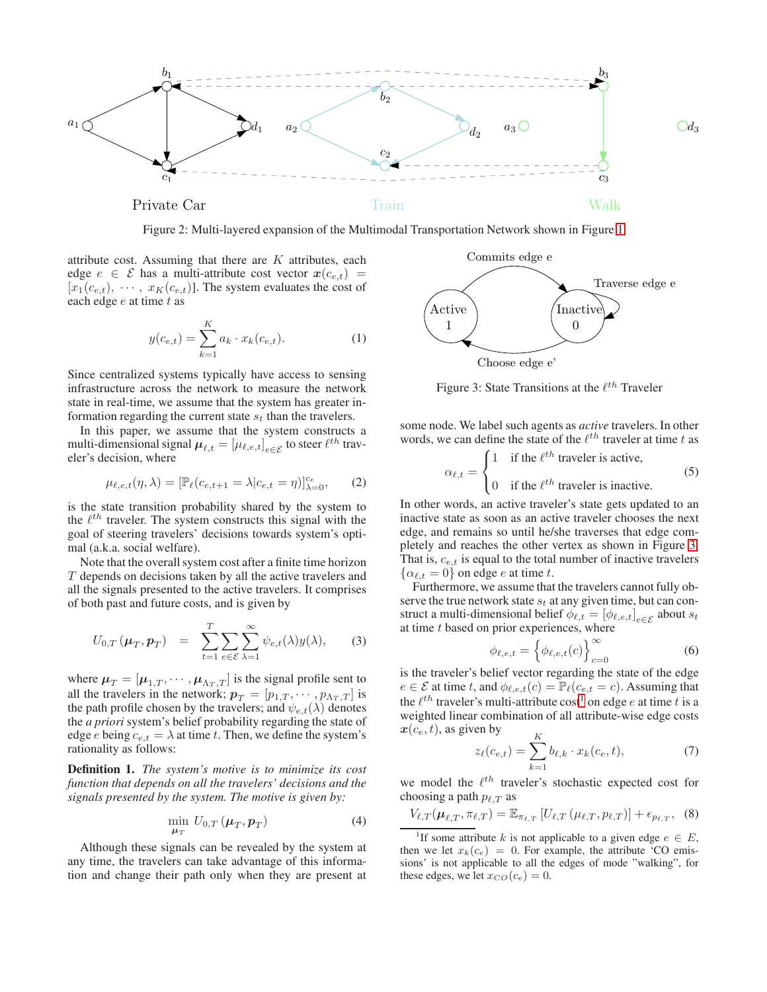<span id="page-2-0"></span>

Figure 2: Multi-layered expansion of the Multimodal Transportation Network shown in Figure [1](#page-1-0)

attribute cost. Assuming that there are  $K$  attributes, each edge  $e \in \mathcal{E}$  has a multi-attribute cost vector  $x(c_{e,t})$  =  $[x_1(c_{e,t}), \cdots, x_K(c_{e,t})]$ . The system evaluates the cost of each edge  $e$  at time  $t$  as

$$
y(c_{e,t}) = \sum_{k=1}^{K} a_k \cdot x_k(c_{e,t}).
$$
 (1)

Since centralized systems typically have access to sensing infrastructure across the network to measure the network state in real-time, we assume that the system has greater information regarding the current state  $s_t$  than the travelers.

In this paper, we assume that the system constructs a multi-dimensional signal  $\boldsymbol{\mu}_{\ell,t} = [\mu_{\ell,e,t}]_{e\in\mathcal{E}}$  to steer  $\ell^{th}$  traveler's decision, where

<span id="page-2-6"></span>
$$
\mu_{\ell,e,t}(\eta,\lambda) = [\mathbb{P}_{\ell}(c_{e,t+1} = \lambda | c_{e,t} = \eta)]_{\lambda=0}^{c_e},
$$
 (2)

is the state transition probability shared by the system to the  $\ell^{th}$  traveler. The system constructs this signal with the goal of steering travelers' decisions towards system's optimal (a.k.a. social welfare).

Note that the overall system cost after a finite time horizon T depends on decisions taken by all the active travelers and all the signals presented to the active travelers. It comprises of both past and future costs, and is given by

$$
U_{0,T}(\boldsymbol{\mu}_T, \boldsymbol{p}_T) = \sum_{t=1}^T \sum_{e \in \mathcal{E}} \sum_{\lambda=1}^\infty \psi_{e,t}(\lambda) y(\lambda), \qquad (3)
$$

where  $\mu_T = [\mu_{1,T}, \cdots, \mu_{\Lambda_T,T}]$  is the signal profile sent to all the travelers in the network;  $p_T = [p_{1,T}, \cdots, p_{\Lambda_T,T}]$  is the path profile chosen by the travelers; and  $\psi_{e,t}(\lambda)$  denotes the *a priori* system's belief probability regarding the state of edge e being  $c_{e,t} = \lambda$  at time t. Then, we define the system's rationality as follows:

Definition 1. *The system's motive is to minimize its cost function that depends on all the travelers' decisions and the signals presented by the system. The motive is given by:*

<span id="page-2-3"></span>
$$
\min_{\boldsymbol{\mu}_T} \, U_{0,T} \left( \boldsymbol{\mu}_T, \boldsymbol{p}_T \right) \tag{4}
$$

Although these signals can be revealed by the system at any time, the travelers can take advantage of this information and change their path only when they are present at

<span id="page-2-1"></span>

Figure 3: State Transitions at the  $\ell^{th}$  Traveler

some node. We label such agents as *active* travelers. In other words, we can define the state of the  $\ell^{th}$  traveler at time t as

$$
\alpha_{\ell,t} = \begin{cases} 1 & \text{if the } \ell^{th} \text{ traveler is active,} \\ 0 & \text{if the } \ell^{th} \text{ traveler is inactive.} \end{cases} \tag{5}
$$

In other words, an active traveler's state gets updated to an inactive state as soon as an active traveler chooses the next edge, and remains so until he/she traverses that edge completely and reaches the other vertex as shown in Figure [3.](#page-2-1) That is,  $c_{e,t}$  is equal to the total number of inactive travelers  $\{\alpha_{\ell,t} = 0\}$  on edge e at time t.

Furthermore, we assume that the travelers cannot fully observe the true network state  $s_t$  at any given time, but can construct a multi-dimensional belief  $\phi_{\ell,t} = [\phi_{\ell,e,t}]_{e \in \mathcal{E}}$  about  $s_t$ at time  $t$  based on prior experiences, where

<span id="page-2-4"></span>
$$
\phi_{\ell,e,t} = \left\{ \phi_{\ell,e,t}(c) \right\}_{c=0}^{\infty} \tag{6}
$$

is the traveler's belief vector regarding the state of the edge  $e \in \mathcal{E}$  at time t, and  $\phi_{\ell,e,t}(c) = \mathbb{P}_{\ell}(c_{e,t} = c)$ . Assuming that the  $\ell^{th}$  traveler's multi-attribute cost<sup>[1](#page-2-2)</sup> on edge e at time t is a weighted linear combination of all attribute-wise edge costs  $x(c_e, t)$ , as given by  $\mathbf{r}$ 

$$
z_{\ell}(c_{e,t}) = \sum_{k=1}^{K} b_{\ell,k} \cdot x_k(c_e, t), \tag{7}
$$

we model the  $\ell^{th}$  traveler's stochastic expected cost for choosing a path  $p_{\ell,T}$  as

<span id="page-2-5"></span>
$$
V_{\ell,T}(\boldsymbol{\mu}_{\ell,T}, \pi_{\ell,T}) = \mathbb{E}_{\pi_{\ell,T}} \left[ U_{\ell,T} \left( \mu_{\ell,T}, p_{\ell,T} \right) \right] + \epsilon_{p_{\ell,T}}, \quad (8)
$$

<span id="page-2-2"></span><sup>1</sup>If some attribute k is not applicable to a given edge  $e \in E$ , then we let  $x_k(c_e) = 0$ . For example, the attribute 'CO emissions' is not applicable to all the edges of mode "walking", for these edges, we let  $x_{CO}(c_e) = 0$ .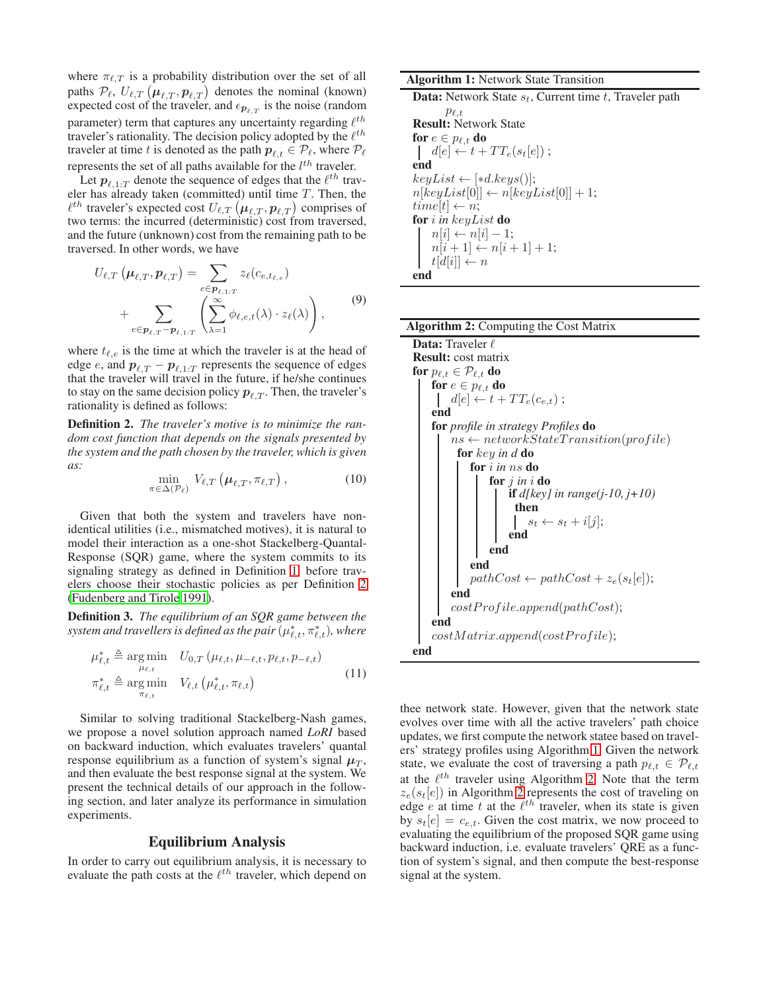where  $\pi_{\ell,T}$  is a probability distribution over the set of all paths  $\mathcal{P}_{\ell}, U_{\ell,T}(\mu_{\ell,T}, p_{\ell,T})$  denotes the nominal (known) expected cost of the traveler, and  $\epsilon_{p_{\ell},T}$  is the noise (random parameter) term that captures any uncertainty regarding  $\ell^{th}$ traveler's rationality. The decision policy adopted by the  $\ell^{th}$ traveler at time t is denoted as the path  $p_{\ell,t} \in \mathcal{P}_{\ell}$ , where  $\mathcal{P}_{\ell}$ represents the set of all paths available for the  $l^{th}$  traveler.

Let  $p_{\ell,1:T}$  denote the sequence of edges that the  $\ell^{th}$  traveler has already taken (committed) until time  $T$ . Then, the  $\ell^{th}$  traveler's expected cost  $U_{\ell,T}\left(\boldsymbol\mu_{\ell,T},\boldsymbol p_{\ell,T}\right)$  comprises of two terms: the incurred (deterministic) cost from traversed, and the future (unknown) cost from the remaining path to be traversed. In other words, we have

$$
U_{\ell,T}(\boldsymbol{\mu}_{\ell,T},\boldsymbol{p}_{\ell,T}) = \sum_{e \in \boldsymbol{p}_{\ell,1:T}} z_{\ell}(c_{e,t_{\ell,e}}) + \sum_{e \in \boldsymbol{p}_{\ell,T}-\boldsymbol{p}_{\ell,1:T}} \left( \sum_{\lambda=1}^{\infty} \phi_{\ell,e,t}(\lambda) \cdot z_{\ell}(\lambda) \right),
$$
\n(9)

where  $t_{\ell,e}$  is the time at which the traveler is at the head of edge *e*, and  $p_{\ell,T} - p_{\ell,1:T}$  represents the sequence of edges that the traveler will travel in the future, if he/she continues to stay on the same decision policy  $p_{\ell T}$ . Then, the traveler's rationality is defined as follows:

Definition 2. *The traveler's motive is to minimize the random cost function that depends on the signals presented by the system and the path chosen by the traveler, which is given as:*

<span id="page-3-0"></span>
$$
\min_{\pi \in \Delta(\mathcal{P}_{\ell})} V_{\ell,T} \left( \mu_{\ell,T}, \pi_{\ell,T} \right), \tag{10}
$$

Given that both the system and travelers have nonidentical utilities (i.e., mismatched motives), it is natural to model their interaction as a one-shot Stackelberg-Quantal-Response (SQR) game, where the system commits to its signaling strategy as defined in Definition [1,](#page-2-3) before travelers choose their stochastic policies as per Definition [2](#page-3-0) [\(Fudenberg and Tirole 1991\)](#page-7-22).

Definition 3. *The equilibrium of an SQR game between the* system and travellers is defined as the pair  $(\mu_{\ell,t}^*,\pi_{\ell,t}^*),$  where

$$
\mu_{\ell,t}^* \triangleq \underset{\mu_{\ell,t}}{\arg\min} \quad U_{0,T} \left( \mu_{\ell,t}, \mu_{-\ell,t}, p_{\ell,t}, p_{-\ell,t} \right) \n\pi_{\ell,t}^* \triangleq \underset{\pi_{\ell,t}}{\arg\min} \quad V_{\ell,t} \left( \mu_{\ell,t}^*, \pi_{\ell,t} \right)
$$
\n(11)

Similar to solving traditional Stackelberg-Nash games, we propose a novel solution approach named *LoRI* based on backward induction, which evaluates travelers' quantal response equilibrium as a function of system's signal  $\mu_T$ , and then evaluate the best response signal at the system. We present the technical details of our approach in the following section, and later analyze its performance in simulation experiments.

#### Equilibrium Analysis

In order to carry out equilibrium analysis, it is necessary to evaluate the path costs at the  $\ell^{th}$  traveler, which depend on

<span id="page-3-1"></span>Algorithm 1: Network State Transition

**Data:** Network State  $s_t$ , Current time  $t$ , Traveler path

 $p_{\ell,t}$ Result: Network State for  $e \in p_{\ell,t}$  do  $d[e] \leftarrow t + TT_e(s_t[e])$ ; end  $keyList \leftarrow [ *d.keys()];$  $n[keyList[0]] \leftarrow n[keyList[0]] + 1;$  $time[t] \leftarrow n;$ for i *in* keyList do  $n[i] \leftarrow n[i] - 1;$  $n[i + 1] \leftarrow n[i + 1] + 1;$  $t[d[i]] \leftarrow n$ end

<span id="page-3-2"></span>

| <b>Algorithm 2: Computing the Cost Matrix</b>     |  |  |
|---------------------------------------------------|--|--|
| <b>Data:</b> Traveler $\ell$                      |  |  |
| <b>Result:</b> cost matrix                        |  |  |
| for $p_{\ell,t} \in \mathcal{P}_{\ell,t}$ do      |  |  |
| for $e \in p_{\ell,t}$ do                         |  |  |
| $\left  d[e] \leftarrow t + TT_e(c_{e,t})$ ;      |  |  |
| end                                               |  |  |
| <b>for</b> profile in strategy Profiles <b>do</b> |  |  |
| $ns \leftarrow networkStateTransitionહ(profile)$  |  |  |
| for key in d do                                   |  |  |
| for i in ns do                                    |  |  |
| for $j$ in $i$ do                                 |  |  |
| <b>if</b> d[key] in range(j-10, j+10)             |  |  |
| then                                              |  |  |
| $s_t \leftarrow s_t + i[j];$                      |  |  |
| end                                               |  |  |
| end                                               |  |  |
| end                                               |  |  |
| $pathCost \leftarrow pathCost + z_e(s_t e );$     |  |  |
| end                                               |  |  |
| costProfile.append(pathCost);                     |  |  |
| end                                               |  |  |
| costMatrix.append(costProfile);                   |  |  |
| end                                               |  |  |

thee network state. However, given that the network state evolves over time with all the active travelers' path choice updates, we first compute the network statee based on travelers' strategy profiles using Algorithm [1.](#page-3-1) Given the network state, we evaluate the cost of traversing a path  $p_{\ell,t} \in \mathcal{P}_{\ell,t}$ at the  $\ell^{th}$  traveler using Algorithm [2.](#page-3-2) Note that the term  $z_e(s_t[e])$  in Algorithm [2](#page-3-2) represents the cost of traveling on edge *e* at time t at the  $\ell^{th}$  traveler, when its state is given by  $s_t[e] = c_{e,t}$ . Given the cost matrix, we now proceed to evaluating the equilibrium of the proposed SQR game using backward induction, i.e. evaluate travelers' QRE as a function of system's signal, and then compute the best-response signal at the system.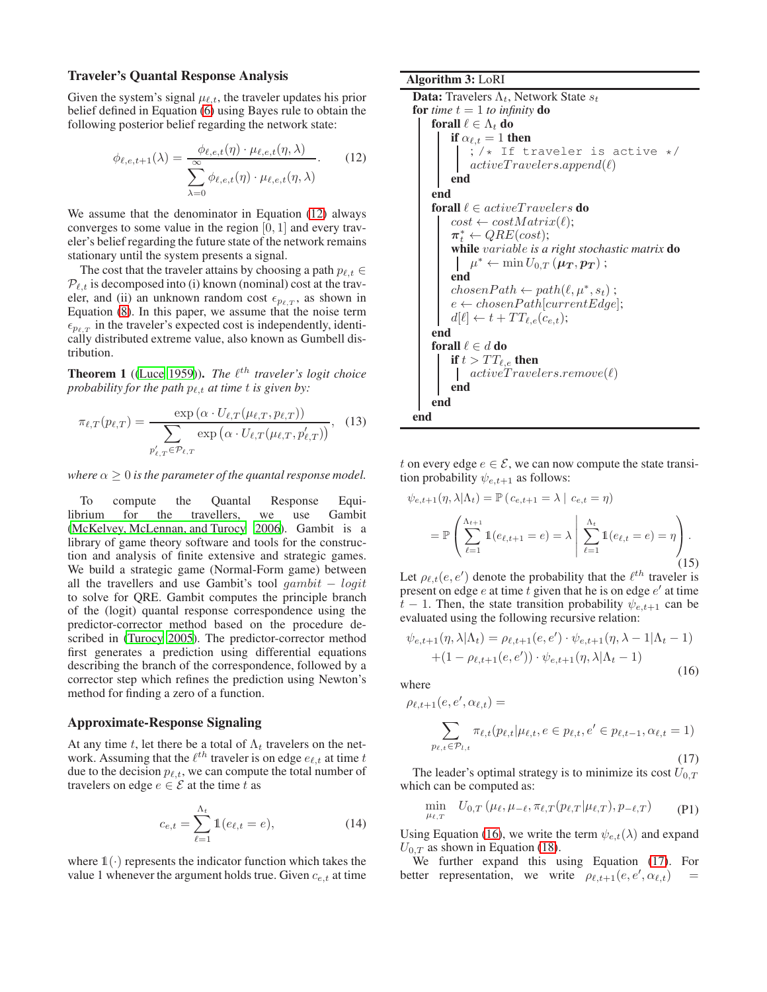### Traveler's Quantal Response Analysis

Given the system's signal  $\mu_{\ell,t}$ , the traveler updates his prior belief defined in Equation [\(6\)](#page-2-4) using Bayes rule to obtain the following posterior belief regarding the network state:

<span id="page-4-0"></span>
$$
\phi_{\ell,e,t+1}(\lambda) = \frac{\phi_{\ell,e,t}(\eta) \cdot \mu_{\ell,e,t}(\eta,\lambda)}{\sum_{\lambda=0}^{\infty} \phi_{\ell,e,t}(\eta) \cdot \mu_{\ell,e,t}(\eta,\lambda)}.
$$
 (12)

We assume that the denominator in Equation [\(12\)](#page-4-0) always converges to some value in the region  $[0, 1]$  and every traveler's belief regarding the future state of the network remains stationary until the system presents a signal.

The cost that the traveler attains by choosing a path  $p_{\ell, t} \in$  $P_{\ell,t}$  is decomposed into (i) known (nominal) cost at the traveler, and (ii) an unknown random cost  $\epsilon_{p_{\ell,T}}$ , as shown in Equation [\(8\)](#page-2-5). In this paper, we assume that the noise term  $\epsilon_{p_{\ell},T}$  in the traveler's expected cost is independently, identically distributed extreme value, also known as Gumbell distribution.

**Theorem 1** ([\(Luce 1959\)](#page-7-18)). *The*  $\ell^{th}$  *traveler's logit choice probability for the path*  $p_{\ell,t}$  *at time t is given by:* 

$$
\pi_{\ell,T}(p_{\ell,T}) = \frac{\exp\left(\alpha \cdot U_{\ell,T}(\mu_{\ell,T}, p_{\ell,T})\right)}{\sum_{p'_{\ell,T} \in \mathcal{P}_{\ell,T}} \exp\left(\alpha \cdot U_{\ell,T}(\mu_{\ell,T}, p'_{\ell,T})\right)},\tag{13}
$$

*where*  $\alpha \geq 0$  *is the parameter of the quantal response model.* 

To compute the Quantal Response Equilibrium for the travellers, we use Gambit [\(McKelvey, McLennan, and Turocy 2006\)](#page-7-23). Gambit is a library of game theory software and tools for the construction and analysis of finite extensive and strategic games. We build a strategic game (Normal-Form game) between all the travellers and use Gambit's tool  $qambit - logit$ to solve for QRE. Gambit computes the principle branch of the (logit) quantal response correspondence using the predictor-corrector method based on the procedure described in [\(Turocy 2005](#page-7-24)). The predictor-corrector method first generates a prediction using differential equations describing the branch of the correspondence, followed by a corrector step which refines the prediction using Newton's method for finding a zero of a function.

#### Approximate-Response Signaling

At any time t, let there be a total of  $\Lambda_t$  travelers on the network. Assuming that the  $\ell^{th}$  traveler is on edge  $e_{\ell,t}$  at time  $t$ due to the decision  $p_{\ell,t}$ , we can compute the total number of travelers on edge  $e \in \mathcal{E}$  at the time t as

$$
c_{e,t} = \sum_{\ell=1}^{\Lambda_t} \mathbb{1}(e_{\ell,t} = e),
$$
 (14)

where  $\mathbb{1}(\cdot)$  represents the indicator function which takes the value 1 whenever the argument holds true. Given  $c_{e,t}$  at time Algorithm 3: LoRI

```
Data: Travelers \Lambda_t, Network State s_tfor time t = 1 to infinity do
     forall \ell \in \Lambda_t do
          if \alpha_{\ell,t} = 1 then
              ; /* If traveler is active */
              activeTracelers.append(\ell)end
     end
     forall \ell \in activeTraceles do
          cost \leftarrow costMatrix(\ell);\boldsymbol{\pi}_t^* \leftarrow QRE(cost);while variable is a right stochastic matrix do
               \mu^* \leftarrow \min U_{0,T}\left(\mu_{\boldsymbol{T}}, \boldsymbol{p}_{\boldsymbol{T}}\right) ;
          end
          chosenPath \leftarrow path(\ell, \mu^*, s_t);e \leftarrow chosenPath[currentEdge];d[\ell] \leftarrow t + TT_{\ell,e}(c_{e,t});end
     forall \ell \in d do
         if t > TT_{\ell,e} then
           \int activeT ravelers.remove(\ell)end
     end
end
```
<span id="page-4-3"></span>t on every edge  $e \in \mathcal{E}$ , we can now compute the state transition probability  $\psi_{e,t+1}$  as follows:

$$
\psi_{e,t+1}(\eta, \lambda | \Lambda_t) = \mathbb{P} (c_{e,t+1} = \lambda | c_{e,t} = \eta)
$$

$$
= \mathbb{P} \left( \sum_{\ell=1}^{\Lambda_{t+1}} \mathbb{1}(e_{\ell,t+1} = e) = \lambda \middle| \sum_{\ell=1}^{\Lambda_t} \mathbb{1}(e_{\ell,t} = e) = \eta \right).
$$
(15)

Let  $\rho_{\ell,t}(e,e')$  denote the probability that the  $\ell^{th}$  traveler is present on edge  $e$  at time  $t$  given that he is on edge  $e'$  at time  $t-1$ . Then, the state transition probability  $\psi_{e,t+1}$  can be evaluated using the following recursive relation:

<span id="page-4-1"></span>
$$
\psi_{e,t+1}(\eta, \lambda | \Lambda_t) = \rho_{\ell,t+1}(e, e') \cdot \psi_{e,t+1}(\eta, \lambda - 1 | \Lambda_t - 1)
$$

$$
+ (1 - \rho_{\ell,t+1}(e, e')) \cdot \psi_{e,t+1}(\eta, \lambda | \Lambda_t - 1)
$$
(16)

where

<span id="page-4-2"></span>
$$
\rho_{\ell,t+1}(e,e',\alpha_{\ell,t}) = \sum_{p_{\ell,t}\in\mathcal{P}_{l,t}} \pi_{\ell,t}(p_{\ell,t}|\mu_{\ell,t},e\in p_{\ell,t},e'\in p_{\ell,t-1},\alpha_{\ell,t}=1)
$$
\n(17)

The leader's optimal strategy is to minimize its cost  $U_{0,T}$ which can be computed as:

$$
\min_{\mu_{\ell,T}} \quad U_{0,T} \left( \mu_{\ell}, \mu_{-\ell}, \pi_{\ell,T}(p_{\ell,T} | \mu_{\ell,T}), p_{-\ell,T} \right) \tag{P1}
$$

Using Equation [\(16\)](#page-4-1), we write the term  $\psi_{e,t}(\lambda)$  and expand  $U_{0,T}$  as shown in Equation [\(18\)](#page-5-0).

We further expand this using Equation [\(17\)](#page-4-2). For better representation, we write  $\rho_{\ell,t+1}(e,e',\alpha_{\ell,t})$  =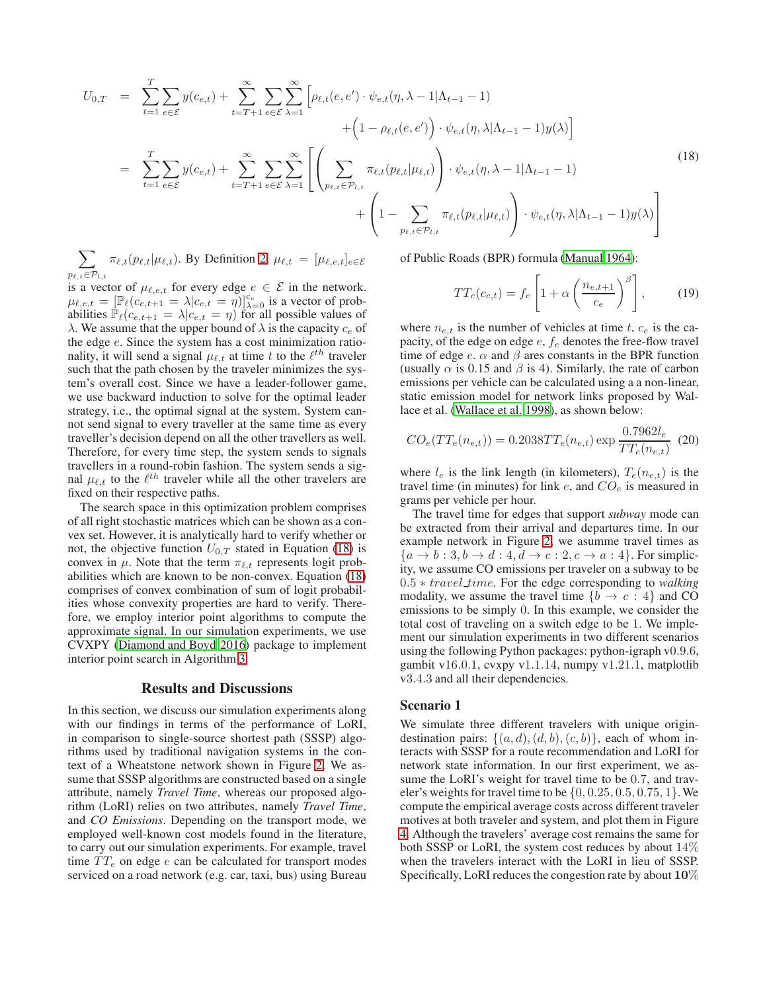<span id="page-5-0"></span>
$$
U_{0,T} = \sum_{t=1}^{T} \sum_{e \in \mathcal{E}} y(c_{e,t}) + \sum_{t=T+1}^{\infty} \sum_{e \in \mathcal{E}} \sum_{\lambda=1}^{\infty} \left[ \rho_{\ell,t}(e,e') \cdot \psi_{e,t}(\eta,\lambda-1|\Lambda_{t-1}-1) + \left(1 - \rho_{\ell,t}(e,e')\right) \cdot \psi_{e,t}(\eta,\lambda|\Lambda_{t-1}-1) y(\lambda) \right] + \left(1 - \rho_{\ell,t}(e,e')\right) \cdot \psi_{e,t}(\eta,\lambda|\Lambda_{t-1}-1) y(\lambda) \right]
$$
  

$$
= \sum_{t=1}^{T} \sum_{e \in \mathcal{E}} y(c_{e,t}) + \sum_{t=T+1}^{\infty} \sum_{e \in \mathcal{E}} \sum_{\lambda=1}^{\infty} \left[ \left( \sum_{p_{\ell,t} \in \mathcal{P}_{l,t}} \pi_{\ell,t}(p_{\ell,t}|\mu_{\ell,t}) \right) \cdot \psi_{e,t}(\eta,\lambda-1|\Lambda_{t-1}-1) + \left(1 - \sum_{p_{\ell,t} \in \mathcal{P}_{l,t}} \pi_{\ell,t}(p_{\ell,t}|\mu_{\ell,t}) \right) \cdot \psi_{e,t}(\eta,\lambda|\Lambda_{t-1}-1) y(\lambda) \right]
$$
(18)

 $\sum$  $p_{\ell,t} \in \mathcal{P}_{l,t}$  $\pi_{\ell,t}(p_{\ell,t}|\mu_{\ell,t})$ . By Definition [2,](#page-2-6)  $\mu_{\ell,t} = [\mu_{\ell,e,t}]_{e \in \mathcal{E}}$ 

is a vector of  $\mu_{\ell,e,t}$  for every edge  $e \in \mathcal{E}$  in the network.  $\mu_{\ell,e,t} = [\mathbb{P}_{\ell}(c_{e,t+1} = \lambda | c_{e,t} = \eta)]_{\lambda=0}^{c_e}$  is a vector of probabilities  $\mathbb{P}_{\ell}(c_{e,t+1} = \lambda | c_{e,t} = \eta)$  for all possible values of  $\lambda$ . We assume that the upper bound of  $\lambda$  is the capacity  $c_e$  of the edge e. Since the system has a cost minimization rationality, it will send a signal  $\mu_{\ell,t}$  at time t to the  $\ell^{th}$  traveler such that the path chosen by the traveler minimizes the system's overall cost. Since we have a leader-follower game, we use backward induction to solve for the optimal leader strategy, i.e., the optimal signal at the system. System cannot send signal to every traveller at the same time as every traveller's decision depend on all the other travellers as well. Therefore, for every time step, the system sends to signals travellers in a round-robin fashion. The system sends a signal  $\mu_{\ell,t}$  to the  $\ell^{th}$  traveler while all the other travelers are fixed on their respective paths.

The search space in this optimization problem comprises of all right stochastic matrices which can be shown as a convex set. However, it is analytically hard to verify whether or not, the objective function  $U_{0,T}$  stated in Equation [\(18\)](#page-5-0) is convex in  $\mu$ . Note that the term  $\pi_{\ell,t}$  represents logit probabilities which are known to be non-convex. Equation [\(18\)](#page-5-0) comprises of convex combination of sum of logit probabilities whose convexity properties are hard to verify. Therefore, we employ interior point algorithms to compute the approximate signal. In our simulation experiments, we use CVXPY [\(Diamond and Boyd 2016\)](#page-7-25) package to implement interior point search in Algorithm [3.](#page-4-3)

## Results and Discussions

In this section, we discuss our simulation experiments along with our findings in terms of the performance of LoRI, in comparison to single-source shortest path (SSSP) algorithms used by traditional navigation systems in the context of a Wheatstone network shown in Figure [2.](#page-2-0) We assume that SSSP algorithms are constructed based on a single attribute, namely *Travel Time*, whereas our proposed algorithm (LoRI) relies on two attributes, namely *Travel Time*, and *CO Emissions*. Depending on the transport mode, we employed well-known cost models found in the literature, to carry out our simulation experiments. For example, travel time  $TT_e$  on edge e can be calculated for transport modes serviced on a road network (e.g. car, taxi, bus) using Bureau

of Public Roads (BPR) formula [\(Manual 1964\)](#page-7-26):

$$
TT_e(c_{e,t}) = f_e \left[ 1 + \alpha \left( \frac{n_{e,t+1}}{c_e} \right)^{\beta} \right], \qquad (19)
$$

where  $n_{e,t}$  is the number of vehicles at time t,  $c_e$  is the capacity, of the edge on edge  $e$ ,  $f_e$  denotes the free-flow travel time of edge e.  $\alpha$  and  $\beta$  ares constants in the BPR function (usually  $\alpha$  is 0.15 and  $\beta$  is 4). Similarly, the rate of carbon emissions per vehicle can be calculated using a a non-linear, static emission model for network links proposed by Wallace et al. [\(Wallace et al. 1998\)](#page-7-27), as shown below:

$$
CO_e(TT_e(n_{e,t})) = 0.2038TT_e(n_{e,t}) \exp \frac{0.7962l_e}{TT_e(n_{e,t})}
$$
(20)

where  $l_e$  is the link length (in kilometers),  $T_e(n_{e,t})$  is the travel time (in minutes) for link  $e$ , and  $CO<sub>e</sub>$  is measured in grams per vehicle per hour.

The travel time for edges that support *subway* mode can be extracted from their arrival and departures time. In our example network in Figure [2,](#page-2-0) we asumme travel times as  ${a \rightarrow b : 3, b \rightarrow d : 4, d \rightarrow c : 2, c \rightarrow a : 4}$ . For simplicity, we assume CO emissions per traveler on a subway to be 0.5 ∗ travel time. For the edge corresponding to *walking* modality, we assume the travel time  ${b \rightarrow c : 4}$  and CO emissions to be simply 0. In this example, we consider the total cost of traveling on a switch edge to be 1. We implement our simulation experiments in two different scenarios using the following Python packages: python-igraph v0.9.6, gambit v16.0.1, cvxpy v1.1.14, numpy v1.21.1, matplotlib v3.4.3 and all their dependencies.

#### Scenario 1

We simulate three different travelers with unique origindestination pairs:  $\{(a, d), (d, b), (c, b)\}\)$ , each of whom interacts with SSSP for a route recommendation and LoRI for network state information. In our first experiment, we assume the LoRI's weight for travel time to be 0.7, and traveler's weights for travel time to be  $\{0, 0.25, 0.5, 0.75, 1\}$ . We compute the empirical average costs across different traveler motives at both traveler and system, and plot them in Figure [4.](#page-6-0) Although the travelers' average cost remains the same for both SSSP or LoRI, the system cost reduces by about 14% when the travelers interact with the LoRI in lieu of SSSP. Specifically, LoRI reduces the congestion rate by about  $10\%$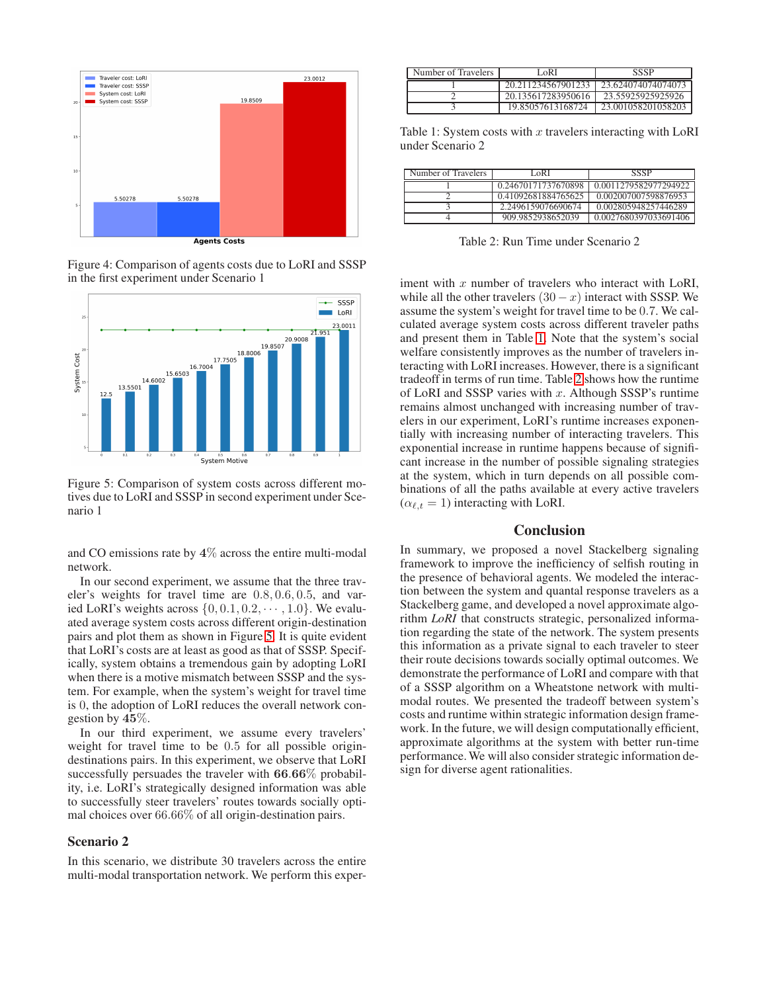<span id="page-6-0"></span>

Figure 4: Comparison of agents costs due to LoRI and SSSP in the first experiment under Scenario 1

<span id="page-6-1"></span>

Figure 5: Comparison of system costs across different motives due to LoRI and SSSP in second experiment under Scenario 1

and CO emissions rate by 4% across the entire multi-modal network.

In our second experiment, we assume that the three traveler's weights for travel time are 0.8, 0.6, 0.5, and varied LoRI's weights across  $\{0, 0.1, 0.2, \cdots, 1.0\}$ . We evaluated average system costs across different origin-destination pairs and plot them as shown in Figure [5.](#page-6-1) It is quite evident that LoRI's costs are at least as good as that of SSSP. Specifically, system obtains a tremendous gain by adopting LoRI when there is a motive mismatch between SSSP and the system. For example, when the system's weight for travel time is 0, the adoption of LoRI reduces the overall network congestion by 45%.

In our third experiment, we assume every travelers' weight for travel time to be 0.5 for all possible origindestinations pairs. In this experiment, we observe that LoRI successfully persuades the traveler with 66.66% probability, i.e. LoRI's strategically designed information was able to successfully steer travelers' routes towards socially optimal choices over 66.66% of all origin-destination pairs.

## Scenario 2

In this scenario, we distribute 30 travelers across the entire multi-modal transportation network. We perform this exper-

<span id="page-6-2"></span>

| Number of Travelers | LoRI               | SSSP               |
|---------------------|--------------------|--------------------|
|                     | 20.211234567901233 | 23 624074074074073 |
|                     | 20.135617283950616 | 23.55925925925926  |
|                     | 19.85057613168724  | 23.001058201058203 |

Table 1: System costs with  $x$  travelers interacting with LoRI under Scenario 2

<span id="page-6-3"></span>

| Number of Travelers | LoRI                | SSSP                  |
|---------------------|---------------------|-----------------------|
|                     | 0.24670171737670898 | 0.0011279582977294922 |
|                     | 0.41092681884765625 | 0.002007007598876953  |
|                     | 2.2496159076690674  | 0.002805948257446289  |
|                     | 909.9852938652039   | 0.0027680397033691406 |

Table 2: Run Time under Scenario 2

iment with  $x$  number of travelers who interact with LoRI, while all the other travelers  $(30 - x)$  interact with SSSP. We assume the system's weight for travel time to be 0.7. We calculated average system costs across different traveler paths and present them in Table [1.](#page-6-2) Note that the system's social welfare consistently improves as the number of travelers interacting with LoRI increases. However, there is a significant tradeoff in terms of run time. Table [2](#page-6-3) shows how the runtime of LoRI and SSSP varies with  $x$ . Although SSSP's runtime remains almost unchanged with increasing number of travelers in our experiment, LoRI's runtime increases exponentially with increasing number of interacting travelers. This exponential increase in runtime happens because of significant increase in the number of possible signaling strategies at the system, which in turn depends on all possible combinations of all the paths available at every active travelers  $(\alpha_{\ell,t} = 1)$  interacting with LoRI.

## **Conclusion**

In summary, we proposed a novel Stackelberg signaling framework to improve the inefficiency of selfish routing in the presence of behavioral agents. We modeled the interaction between the system and quantal response travelers as a Stackelberg game, and developed a novel approximate algorithm *LoRI* that constructs strategic, personalized information regarding the state of the network. The system presents this information as a private signal to each traveler to steer their route decisions towards socially optimal outcomes. We demonstrate the performance of LoRI and compare with that of a SSSP algorithm on a Wheatstone network with multimodal routes. We presented the tradeoff between system's costs and runtime within strategic information design framework. In the future, we will design computationally efficient, approximate algorithms at the system with better run-time performance.We will also consider strategic information design for diverse agent rationalities.